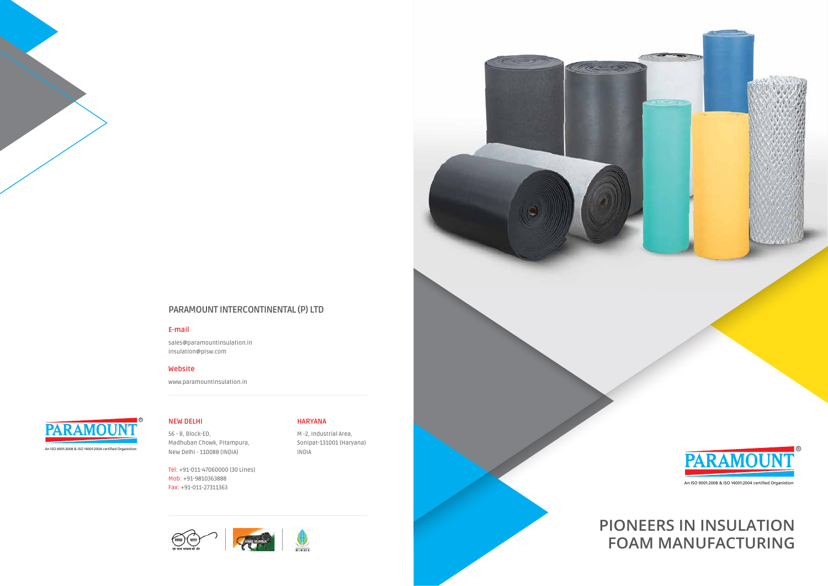**NEW DELHI**

56 - B, Block-ED, Madhuban Chowk, Pitampura, New Delhi - 110088 (INDIA)

Tel: +91-011-47060000 (30 Lines) Mob: +91-9810363888 Fax: +91-011-27311363





**HARYANA**

M -2, Industrial Area, Sonipat-131001 (Haryana) Cape 25



INDIA

### **PARAMOUNT INTERCONTINENTAL (P) LTD**

### **E-mail**

sales@paramountinsulation.in insulation@pisw.com

### **Website**

www.paramountinsulation.in

# **PIONEERS IN INSULATION FOAM MANUFACTURING**



An ISO 9001:2008 & ISO 14001:2004 certified Organistion

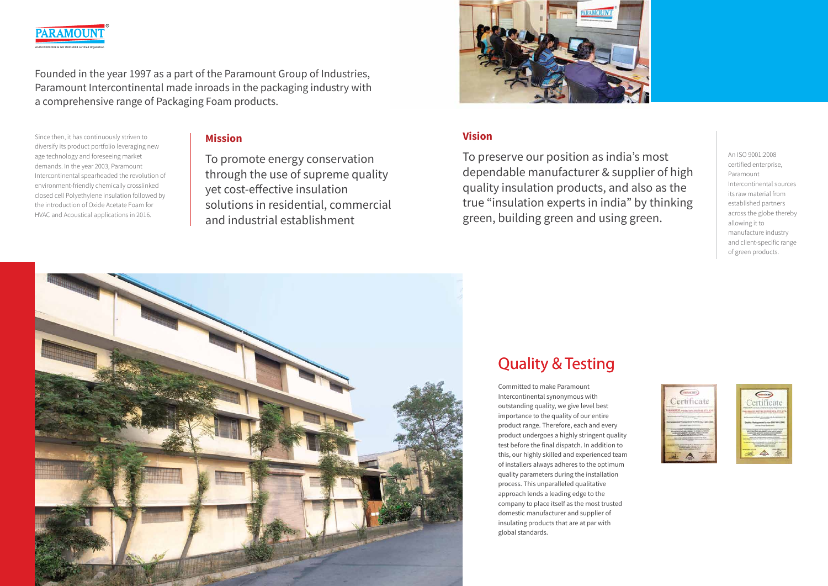

To promote energy conservation through the use of supreme quality yet cost-effective insulation solutions in residential, commercial and industrial establishment



Since then, it has continuously striven to diversify its product portfolio leveraging new age technology and foreseeing market demands. In the year 2003, Paramount Intercontinental spearheaded the revolution of environment-friendly chemically crosslinked closed cell Polyethylene insulation followed by the introduction of Oxide Acetate Foam for HVAC and Acoustical applications in 2016.

An ISO 9001:2008 certified enterprise, Paramount Intercontinental sources its raw material from established partners across the globe thereby allowing it to manufacture industry and client-specific range of green products.





Committed to make Paramount Intercontinental synonymous with outstanding quality, we give level best importance to the quality of our entire product range. Therefore, each and every product undergoes a highly stringent quality test before the final dispatch. In addition to this, our highly skilled and experienced team of installers always adheres to the optimum quality parameters during the installation process. This unparalleled qualitative approach lends a leading edge to the company to place itself as the most trusted domestic manufacturer and supplier of insulating products that are at par with global standards.

# **Quality & Testing**

# **Mission Vision**



To preserve our position as india's most dependable manufacturer & supplier of high quality insulation products, and also as the true "insulation experts in india" by thinking green, building green and using green.

An ISO 9001:2008 & ISO 14001:2004 certified Organistion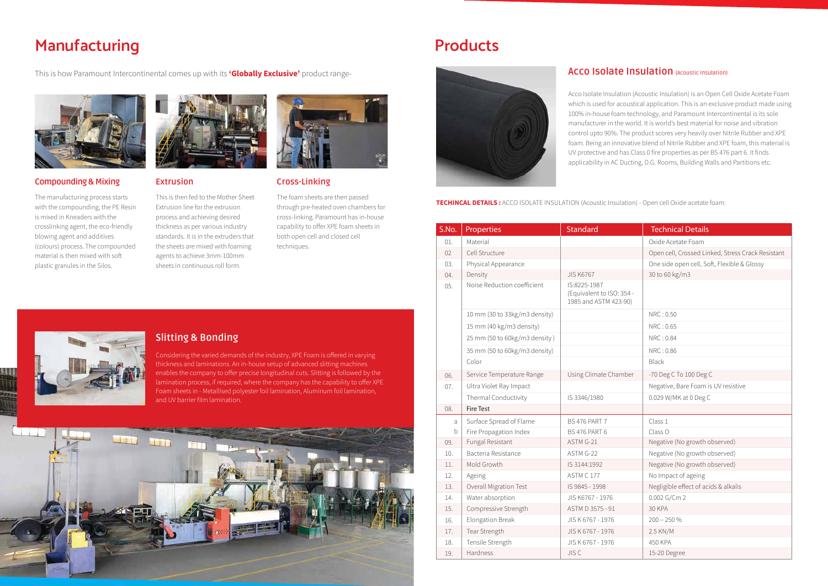The manufacturing process starts with the compounding, the PE Resin is mixed in Kneaders with the crosslinking agent, the eco-friendly blowing agent and additives (colours) process. The compounded material is then mixed with soft plastic granules in the Silos.



This is how Paramount Intercontinental comes up with its **'Globally Exclusive'** product range-



# **Manufacturing**

### **Compounding & Mixing**

This is then fed to the Mother Sheet Extrusion line for the extrusion process and achieving desired thickness as per various industry standards. It is in the extruders that the sheets are mixed with foaming agents to achieve 3mm-100mm sheets in continuous roll form.



The foam sheets are then passed through pre-heated oven chambers for cross-linking. Paramount has in-house capability to offer XPE foam sheets in both open cell and closed cell techniques.

### **Extrusion Cross-Linking**

Considering the varied demands of the industry, XPE Foam is offered in varying thickness and laminations. An in-house setup of advanced slitting machines enables the company to offer precise longitudinal cuts. Slitting is followed by the lamination process, if required, where the company has the capability to offer XPE Foam sheets in - Metallised polyester foil lamination, Aluminum foil lamination, and UV barrier film lamination.



## **Slitting & Bonding**

# **Products**



## **ACCO ISOlate Insulation** (Acoustic Insulation)

### **TECHINCAL DETAILS :** ACCO ISOLATE INSULATION (Acoustic Insulation) - Open cell Oxide acetate foam:

Acco Isolate Insulation (Acoustic Insulation) is an Open Cell Oxide Acetate Foam which is used for acoustical application. This is an exclusive product made using 100% in-house foam technology, and Paramount Intercontinental is its sole manufacturer in the world. It is world's best material for noise and vibration control upto 90%. The product scores very heavily over Nitrile Rubber and XPE foam. Being an innovative blend of Nitrile Rubber and XPE foam, this material is UV protective and has Class 0 fire properties as per BS 476 part 6. It finds applicability in AC Ducting, D.G. Rooms, Building Walls and Partitions etc.

| S.No. | Properties                    | <b>Standard</b>                                                    | <b>Technical Details</b>                          |
|-------|-------------------------------|--------------------------------------------------------------------|---------------------------------------------------|
| 01.   | Material                      |                                                                    | Oxide Acetate Foam                                |
| 02    | Cell Structure                |                                                                    | Open cell, Crossed Linked, Stress Crack Resistant |
| 03.   | Physical Appearance           |                                                                    | One side open cell, Soft, Flexible & Glossy       |
| 04.   | Density                       | <b>JIS K6767</b>                                                   | 30 to 60 kg/m3                                    |
| 05.   | Noise Reduction coefficient   | IS:8225-1987<br>(Equivalent to ISO: 354 -<br>1985 and ASTM 423-90) |                                                   |
|       | 10 mm (30 to 33kg/m3 density) |                                                                    | NRC: 0.50                                         |
|       | 15 mm (40 kg/m3 density)      |                                                                    | NRC: 0.65                                         |
|       | 25 mm (50 to 60kg/m3 density) |                                                                    | NRC: 0.84                                         |
|       | 35 mm (50 to 60kg/m3 density) |                                                                    | NRC: 0.86                                         |
|       | Color                         |                                                                    | Black                                             |
| 06.   | Service Temperature Range     | Using Climate Chamber                                              | -70 Deg C To 100 Deg C                            |
| 07.   | Ultra Violet Ray Impact       |                                                                    | Negative, Bare Foam is UV resistive               |
|       | Thermal Conductivity          | IS 3346/1980                                                       | 0.029 W/MK at 0 Deg C                             |
| 08.   | <b>Fire Test</b>              |                                                                    |                                                   |
| a     | Surface Spread of Flame       | <b>BS 476 PART 7</b>                                               | Class 1                                           |
| b     | Fire Propagation Index        | <b>BS 476 PART 6</b>                                               | Class O                                           |
| 09.   | Fungal Resistant              | ASTM G-21                                                          | Negative (No growth observed)                     |
| 10.   | Bacteria Resistance           | ASTM G-22                                                          | Negative (No growth observed)                     |
| 11.   | Mold Growth                   | IS 3144:1992                                                       | Negative (No growth observed)                     |
| 12.   | Ageing                        | ASTM C 177                                                         | No Impact of ageing                               |
| 13.   | Overall Migration Test        | IS 9845 - 1998                                                     | Negligible effect of acids & alkalis              |
| 14.   | Water absorption              | JIS K6767 - 1976                                                   | 0.002 G/Cm 2                                      |
| 15.   | Compressive Strength          | ASTM D 3575 - 91                                                   | 30 KPA                                            |
| 16.   | Elongation Break              | JIS K 6767 - 1976                                                  | $200 - 250%$                                      |
| 17.   | Tear Strength                 | JIS K 6767 - 1976                                                  | 2.5 KN/M                                          |
| 18.   | Tensile Strength              | JIS K 6767 - 1976                                                  | 450 KPA                                           |
| 19.   | Hardness                      | <b>JISC</b>                                                        | 15-20 Degree                                      |